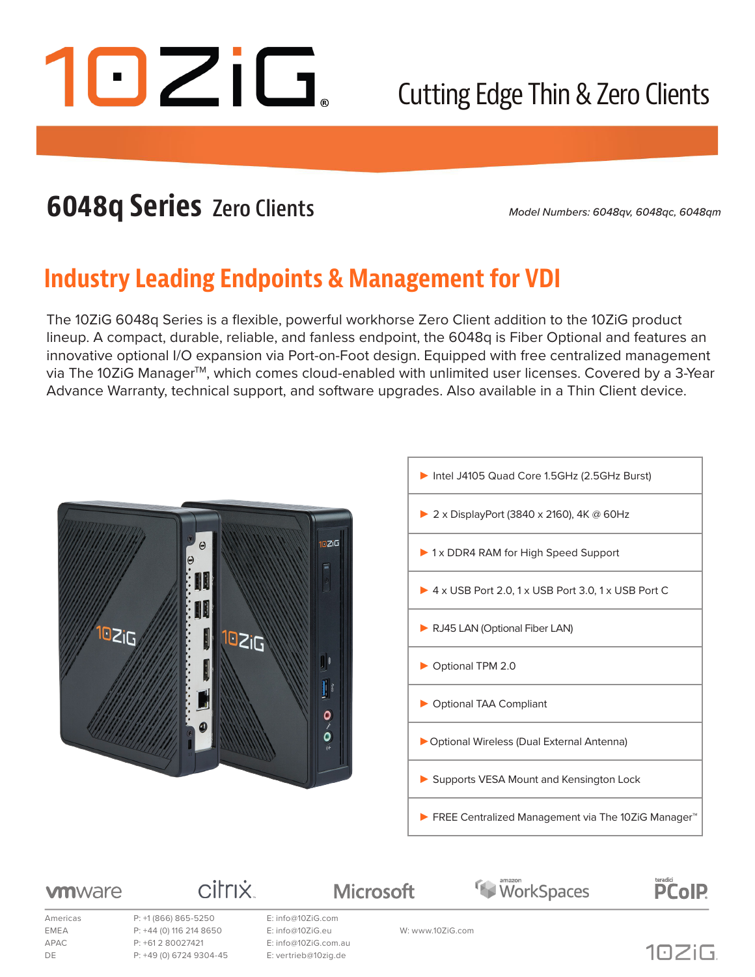

## Cutting Edge Thin & Zero Clients

## **6048q Series Zero Clients**

*Model Numbers: 6048qv, 6048qc, 6048qm*

### **Industry Leading Endpoints & Management for VDI**

The 10ZiG 6048q Series is a flexible, powerful workhorse Zero Client addition to the 10ZiG product lineup. A compact, durable, reliable, and fanless endpoint, the 6048q is Fiber Optional and features an innovative optional I/O expansion via Port-on-Foot design. Equipped with free centralized management via The 10ZiG Manager™, which comes cloud-enabled with unlimited user licenses. Covered by a 3-Year Advance Warranty, technical support, and software upgrades. Also available in a Thin Client device.





WorkSpaces

#### **vm**ware

Americas P: +1 (866) 865-5250 E: info@10ZiG.com EMEA P: +44 (0) 116 214 8650 E: info@10ZiG.eu W: www.10ZiG.com APAC P: +61 2 80027421 E: info@10ZiG.com.au DE P: +49 (0) 6724 9304-45 E: vertrieb@10zig.de

citrix

**Microsoft** 



teradici<br>**PCoIP**